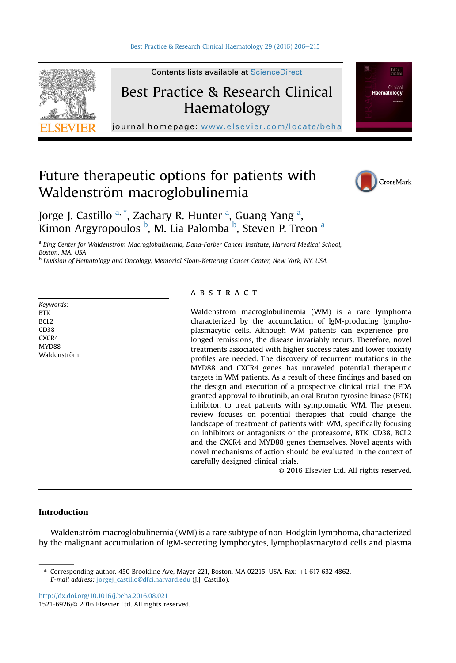

Best Practice & Research Clinical

Contents lists available at [ScienceDirect](www.sciencedirect.com/science/journal/15216926)

Haematology

journal homepage: [www.elsevier.com/locate/beha](http://www.elsevier.com/locate/beha)

# Future therapeutic options for patients with Waldenström macroglobulinemia



Haematology

Jorge J. Castillo <sup>a, \*</sup>, Zachary R. Hunter <sup>a</sup>, Guang Yang <sup>a</sup>, Kimon Argyropoulos <sup>b</sup>, M. Lia Palomba <sup>b</sup>, Steven P. Treon <sup>a</sup>

a Bing Center for Waldenström Macroglobulinemia, Dana-Farber Cancer Institute, Harvard Medical School, Boston, MA, USA

<sup>b</sup> Division of Hematology and Oncology, Memorial Sloan-Kettering Cancer Center, New York, NY, USA

Keywords: **BTK** BCL2 CD38 CXCR4 MYD88 Waldenström

# abstract

Waldenström macroglobulinemia (WM) is a rare lymphoma characterized by the accumulation of IgM-producing lymphoplasmacytic cells. Although WM patients can experience prolonged remissions, the disease invariably recurs. Therefore, novel treatments associated with higher success rates and lower toxicity profiles are needed. The discovery of recurrent mutations in the MYD88 and CXCR4 genes has unraveled potential therapeutic targets in WM patients. As a result of these findings and based on the design and execution of a prospective clinical trial, the FDA granted approval to ibrutinib, an oral Bruton tyrosine kinase (BTK) inhibitor, to treat patients with symptomatic WM. The present review focuses on potential therapies that could change the landscape of treatment of patients with WM, specifically focusing on inhibitors or antagonists or the proteasome, BTK, CD38, BCL2 and the CXCR4 and MYD88 genes themselves. Novel agents with novel mechanisms of action should be evaluated in the context of carefully designed clinical trials.

© 2016 Elsevier Ltd. All rights reserved.

# Introduction

Waldenström macroglobulinemia (WM) is a rare subtype of non-Hodgkin lymphoma, characterized by the malignant accumulation of IgM-secreting lymphocytes, lymphoplasmacytoid cells and plasma

<http://dx.doi.org/10.1016/j.beha.2016.08.021>

1521-6926/© 2016 Elsevier Ltd. All rights reserved.

 $*$  Corresponding author. 450 Brookline Ave, Mayer 221, Boston, MA 02215, USA. Fax:  $+1$  617 632 4862. E-mail address: [jorgej\\_castillo@dfci.harvard.edu](mailto:jorgej_castillo@dfci.harvard.edu) (J.J. Castillo).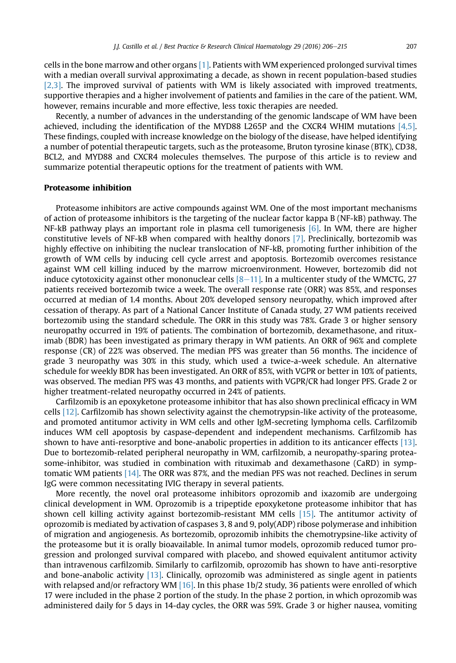cells in the bone marrow and other organs [\[1\].](#page-7-0) Patients with WM experienced prolonged survival times with a median overall survival approximating a decade, as shown in recent population-based studies [\[2,3\].](#page-7-0) The improved survival of patients with WM is likely associated with improved treatments, supportive therapies and a higher involvement of patients and families in the care of the patient. WM, however, remains incurable and more effective, less toxic therapies are needed.

Recently, a number of advances in the understanding of the genomic landscape of WM have been achieved, including the identification of the MYD88 L265P and the CXCR4 WHIM mutations [\[4,5\]](#page-7-0). These findings, coupled with increase knowledge on the biology of the disease, have helped identifying a number of potential therapeutic targets, such as the proteasome, Bruton tyrosine kinase (BTK), CD38, BCL2, and MYD88 and CXCR4 molecules themselves. The purpose of this article is to review and summarize potential therapeutic options for the treatment of patients with WM.

#### Proteasome inhibition

Proteasome inhibitors are active compounds against WM. One of the most important mechanisms of action of proteasome inhibitors is the targeting of the nuclear factor kappa B (NF-kB) pathway. The NF-kB pathway plays an important role in plasma cell tumorigenesis [\[6\]](#page-7-0). In WM, there are higher constitutive levels of NF-kB when compared with healthy donors [\[7\]](#page-7-0). Preclinically, bortezomib was highly effective on inhibiting the nuclear translocation of NF-kB, promoting further inhibition of the growth of WM cells by inducing cell cycle arrest and apoptosis. Bortezomib overcomes resistance against WM cell killing induced by the marrow microenvironment. However, bortezomib did not induce cytotoxicity against other mononuclear cells  $[8-11]$  $[8-11]$ . In a multicenter study of the WMCTG, 27 patients received bortezomib twice a week. The overall response rate (ORR) was 85%, and responses occurred at median of 1.4 months. About 20% developed sensory neuropathy, which improved after cessation of therapy. As part of a National Cancer Institute of Canada study, 27 WM patients received bortezomib using the standard schedule. The ORR in this study was 78%. Grade 3 or higher sensory neuropathy occurred in 19% of patients. The combination of bortezomib, dexamethasone, and rituximab (BDR) has been investigated as primary therapy in WM patients. An ORR of 96% and complete response (CR) of 22% was observed. The median PFS was greater than 56 months. The incidence of grade 3 neuropathy was 30% in this study, which used a twice-a-week schedule. An alternative schedule for weekly BDR has been investigated. An ORR of 85%, with VGPR or better in 10% of patients, was observed. The median PFS was 43 months, and patients with VGPR/CR had longer PFS. Grade 2 or higher treatment-related neuropathy occurred in 24% of patients.

Carfilzomib is an epoxyketone proteasome inhibitor that has also shown preclinical efficacy in WM cells [\[12\]](#page-7-0). Carfilzomib has shown selectivity against the chemotrypsin-like activity of the proteasome, and promoted antitumor activity in WM cells and other IgM-secreting lymphoma cells. Carfilzomib induces WM cell apoptosis by caspase-dependent and independent mechanisms. Carfilzomib has shown to have anti-resorptive and bone-anabolic properties in addition to its anticancer effects [\[13\]](#page-7-0). Due to bortezomib-related peripheral neuropathy in WM, carfilzomib, a neuropathy-sparing proteasome-inhibitor, was studied in combination with rituximab and dexamethasone (CaRD) in symptomatic WM patients [\[14\].](#page-7-0) The ORR was 87%, and the median PFS was not reached. Declines in serum IgG were common necessitating IVIG therapy in several patients.

More recently, the novel oral proteasome inhibitors oprozomib and ixazomib are undergoing clinical development in WM. Oprozomib is a tripeptide epoxyketone proteasome inhibitor that has shown cell killing activity against bortezomib-resistant MM cells [\[15\]](#page-7-0). The antitumor activity of oprozomib is mediated by activation of caspases 3, 8 and 9, poly(ADP) ribose polymerase and inhibition of migration and angiogenesis. As bortezomib, oprozomib inhibits the chemotrypsine-like activity of the proteasome but it is orally bioavailable. In animal tumor models, oprozomib reduced tumor progression and prolonged survival compared with placebo, and showed equivalent antitumor activity than intravenous carfilzomib. Similarly to carfilzomib, oprozomib has shown to have anti-resorptive and bone-anabolic activity [\[13\].](#page-7-0) Clinically, oprozomib was administered as single agent in patients with relapsed and/or refractory WM [\[16\].](#page-7-0) In this phase 1b/2 study, 36 patients were enrolled of which 17 were included in the phase 2 portion of the study. In the phase 2 portion, in which oprozomib was administered daily for 5 days in 14-day cycles, the ORR was 59%. Grade 3 or higher nausea, vomiting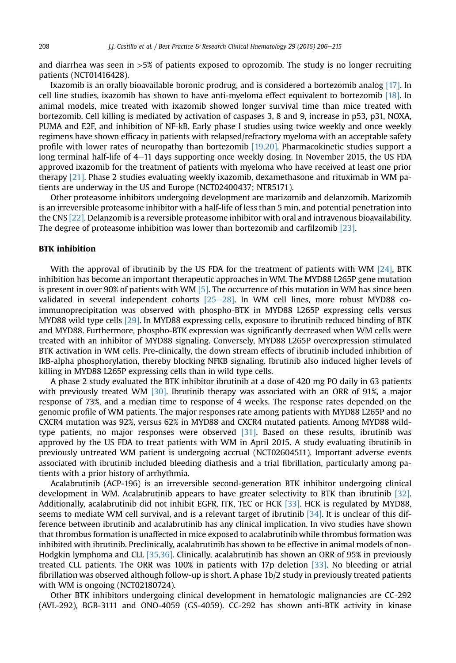and diarrhea was seen in  $>5\%$  of patients exposed to oprozomib. The study is no longer recruiting patients (NCT01416428).

Ixazomib is an orally bioavailable boronic prodrug, and is considered a bortezomib analog [\[17\].](#page-7-0) In cell line studies, ixazomib has shown to have anti-myeloma effect equivalent to bortezomib [\[18\]](#page-7-0). In animal models, mice treated with ixazomib showed longer survival time than mice treated with bortezomib. Cell killing is mediated by activation of caspases 3, 8 and 9, increase in p53, p31, NOXA, PUMA and E2F, and inhibition of NF-kB. Early phase I studies using twice weekly and once weekly regimens have shown efficacy in patients with relapsed/refractory myeloma with an acceptable safety profile with lower rates of neuropathy than bortezomib [\[19,20\]](#page-7-0). Pharmacokinetic studies support a long terminal half-life of  $4-11$  days supporting once weekly dosing. In November 2015, the US FDA approved ixazomib for the treatment of patients with myeloma who have received at least one prior therapy [\[21\]](#page-7-0). Phase 2 studies evaluating weekly ixazomib, dexamethasone and rituximab in WM patients are underway in the US and Europe (NCT02400437; NTR5171).

Other proteasome inhibitors undergoing development are marizomib and delanzomib. Marizomib is an irreversible proteasome inhibitor with a half-life of less than 5 min, and potential penetration into the CNS [\[22\]](#page-7-0). Delanzomib is a reversible proteasome inhibitor with oral and intravenous bioavailability. The degree of proteasome inhibition was lower than bortezomib and carfilzomib [\[23\]](#page-8-0).

# BTK inhibition

With the approval of ibrutinib by the US FDA for the treatment of patients with WM  $[24]$ , BTK inhibition has become an important therapeutic approaches in WM. The MYD88 L265P gene mutation is present in over 90% of patients with WM [\[5\].](#page-7-0) The occurrence of this mutation in WM has since been validated in several independent cohorts  $[25-28]$  $[25-28]$  $[25-28]$ . In WM cell lines, more robust MYD88 coimmunoprecipitation was observed with phospho-BTK in MYD88 L265P expressing cells versus MYD88 wild type cells [\[29\]](#page-8-0). In MYD88 expressing cells, exposure to ibrutinib reduced binding of BTK and MYD88. Furthermore, phospho-BTK expression was significantly decreased when WM cells were treated with an inhibitor of MYD88 signaling. Conversely, MYD88 L265P overexpression stimulated BTK activation in WM cells. Pre-clinically, the down stream effects of ibrutinib included inhibition of IkB-alpha phosphorylation, thereby blocking NFKB signaling. Ibrutinib also induced higher levels of killing in MYD88 L265P expressing cells than in wild type cells.

A phase 2 study evaluated the BTK inhibitor ibrutinib at a dose of 420 mg PO daily in 63 patients with previously treated WM [\[30\].](#page-8-0) Ibrutinib therapy was associated with an ORR of 91%, a major response of 73%, and a median time to response of 4 weeks. The response rates depended on the genomic profile of WM patients. The major responses rate among patients with MYD88 L265P and no CXCR4 mutation was 92%, versus 62% in MYD88 and CXCR4 mutated patients. Among MYD88 wildtype patients, no major responses were observed [\[31\].](#page-8-0) Based on these results, ibrutinib was approved by the US FDA to treat patients with WM in April 2015. A study evaluating ibrutinib in previously untreated WM patient is undergoing accrual (NCT02604511). Important adverse events associated with ibrutinib included bleeding diathesis and a trial fibrillation, particularly among patients with a prior history of arrhythmia.

Acalabrutinib (ACP-196) is an irreversible second-generation BTK inhibitor undergoing clinical development in WM. Acalabrutinib appears to have greater selectivity to BTK than ibrutinib [\[32\]](#page-8-0). Additionally, acalabrutinib did not inhibit EGFR, ITK, TEC or HCK [\[33\].](#page-8-0) HCK is regulated by MYD88, seems to mediate WM cell survival, and is a relevant target of ibrutinib  $[34]$ . It is unclear of this difference between ibrutinib and acalabrutinib has any clinical implication. In vivo studies have shown that thrombus formation is unaffected in mice exposed to acalabrutinib while thrombus formation was inhibited with ibrutinib. Preclinically, acalabrutinib has shown to be effective in animal models of non-Hodgkin lymphoma and CLL [\[35,36\]](#page-8-0). Clinically, acalabrutinib has shown an ORR of 95% in previously treated CLL patients. The ORR was 100% in patients with 17p deletion [\[33\]](#page-8-0). No bleeding or atrial fibrillation was observed although follow-up is short. A phase 1b/2 study in previously treated patients with WM is ongoing (NCT02180724).

Other BTK inhibitors undergoing clinical development in hematologic malignancies are CC-292 (AVL-292), BGB-3111 and ONO-4059 (GS-4059). CC-292 has shown anti-BTK activity in kinase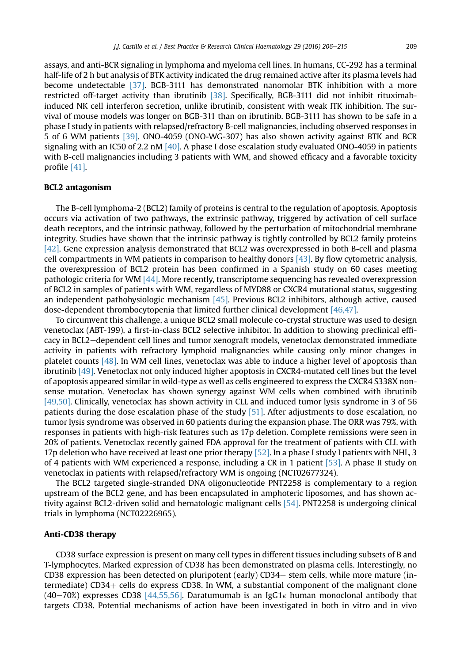assays, and anti-BCR signaling in lymphoma and myeloma cell lines. In humans, CC-292 has a terminal half-life of 2 h but analysis of BTK activity indicated the drug remained active after its plasma levels had become undetectable [\[37\]](#page-8-0). BGB-3111 has demonstrated nanomolar BTK inhibition with a more restricted off-target activity than ibrutinib [\[38\]](#page-8-0). Specifically, BGB-3111 did not inhibit rituximabinduced NK cell interferon secretion, unlike ibrutinib, consistent with weak ITK inhibition. The survival of mouse models was longer on BGB-311 than on ibrutinib. BGB-3111 has shown to be safe in a phase I study in patients with relapsed/refractory B-cell malignancies, including observed responses in 5 of 6 WM patients [\[39\]](#page-8-0). ONO-4059 (ONO-WG-307) has also shown activity against BTK and BCR signaling with an IC50 of 2.2 nM  $[40]$ . A phase I dose escalation study evaluated ONO-4059 in patients with B-cell malignancies including 3 patients with WM, and showed efficacy and a favorable toxicity profile [\[41\]](#page-8-0).

## BCL2 antagonism

The B-cell lymphoma-2 (BCL2) family of proteins is central to the regulation of apoptosis. Apoptosis occurs via activation of two pathways, the extrinsic pathway, triggered by activation of cell surface death receptors, and the intrinsic pathway, followed by the perturbation of mitochondrial membrane integrity. Studies have shown that the intrinsic pathway is tightly controlled by BCL2 family proteins [\[42\].](#page-8-0) Gene expression analysis demonstrated that BCL2 was overexpressed in both B-cell and plasma cell compartments in WM patients in comparison to healthy donors [\[43\].](#page-8-0) By flow cytometric analysis, the overexpression of BCL2 protein has been confirmed in a Spanish study on 60 cases meeting pathologic criteria for WM [\[44\]](#page-8-0). More recently, transcriptome sequencing has revealed overexpression of BCL2 in samples of patients with WM, regardless of MYD88 or CXCR4 mutational status, suggesting an independent pathohysiologic mechanism [\[45\].](#page-8-0) Previous BCL2 inhibitors, although active, caused dose-dependent thrombocytopenia that limited further clinical development [\[46,47\].](#page-8-0)

To circumvent this challenge, a unique BCL2 small molecule co-crystal structure was used to design venetoclax (ABT-199), a first-in-class BCL2 selective inhibitor. In addition to showing preclinical efficacy in BCL2-dependent cell lines and tumor xenograft models, venetoclax demonstrated immediate activity in patients with refractory lymphoid malignancies while causing only minor changes in platelet counts [\[48\].](#page-8-0) In WM cell lines, venetoclax was able to induce a higher level of apoptosis than ibrutinib [\[49\].](#page-8-0) Venetoclax not only induced higher apoptosis in CXCR4-mutated cell lines but the level of apoptosis appeared similar in wild-type as well as cells engineered to express the CXCR4 S338X nonsense mutation. Venetoclax has shown synergy against WM cells when combined with ibrutinib [\[49,50\]](#page-8-0). Clinically, venetoclax has shown activity in CLL and induced tumor lysis syndrome in 3 of 56 patients during the dose escalation phase of the study [\[51\]](#page-8-0). After adjustments to dose escalation, no tumor lysis syndrome was observed in 60 patients during the expansion phase. The ORR was 79%, with responses in patients with high-risk features such as 17p deletion. Complete remissions were seen in 20% of patients. Venetoclax recently gained FDA approval for the treatment of patients with CLL with 17p deletion who have received at least one prior therapy  $[52]$ . In a phase I study I patients with NHL, 3 of 4 patients with WM experienced a response, including a CR in 1 patient [\[53\].](#page-9-0) A phase II study on venetoclax in patients with relapsed/refractory WM is ongoing (NCT02677324).

The BCL2 targeted single-stranded DNA oligonucleotide PNT2258 is complementary to a region upstream of the BCL2 gene, and has been encapsulated in amphoteric liposomes, and has shown activity against BCL2-driven solid and hematologic malignant cells [\[54\]](#page-9-0). PNT2258 is undergoing clinical trials in lymphoma (NCT02226965).

# Anti-CD38 therapy

CD38 surface expression is present on many cell types in different tissues including subsets of B and T-lymphocytes. Marked expression of CD38 has been demonstrated on plasma cells. Interestingly, no CD38 expression has been detected on pluripotent (early) CD34+ stem cells, while more mature (intermediate)  $CD34+$  cells do express CD38. In WM, a substantial component of the malignant clone (40–70%) expresses CD38 [\[44,55,56\].](#page-8-0) Daratumumab is an IgG1<sub>k</sub> human monoclonal antibody that targets CD38. Potential mechanisms of action have been investigated in both in vitro and in vivo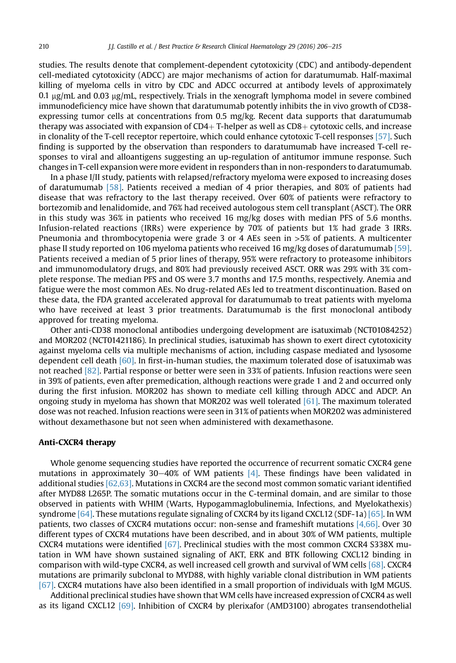studies. The results denote that complement-dependent cytotoxicity (CDC) and antibody-dependent cell-mediated cytotoxicity (ADCC) are major mechanisms of action for daratumumab. Half-maximal killing of myeloma cells in vitro by CDC and ADCC occurred at antibody levels of approximately 0.1  $\mu$ g/mL and 0.03  $\mu$ g/mL, respectively. Trials in the xenograft lymphoma model in severe combined immunodeficiency mice have shown that daratumumab potently inhibits the in vivo growth of CD38 expressing tumor cells at concentrations from 0.5 mg/kg. Recent data supports that daratumumab therapy was associated with expansion of  $CD4+$  T-helper as well as  $CD8+$  cytotoxic cells, and increase in clonality of the T-cell receptor repertoire, which could enhance cytotoxic T-cell responses [\[57\]](#page-9-0). Such finding is supported by the observation than responders to daratumumab have increased T-cell responses to viral and alloantigens suggesting an up-regulation of antitumor immune response. Such changes in T-cell expansion were more evident in responders than in non-responders to daratumumab.

In a phase I/II study, patients with relapsed/refractory myeloma were exposed to increasing doses of daratumumab [\[58\].](#page-9-0) Patients received a median of 4 prior therapies, and 80% of patients had disease that was refractory to the last therapy received. Over 60% of patients were refractory to bortezomib and lenalidomide, and 76% had received autologous stem cell transplant (ASCT). The ORR in this study was 36% in patients who received 16 mg/kg doses with median PFS of 5.6 months. Infusion-related reactions (IRRs) were experience by 70% of patients but 1% had grade 3 IRRs. Pneumonia and thrombocytopenia were grade 3 or 4 AEs seen in >5% of patients. A multicenter phase II study reported on 106 myeloma patients who received 16 mg/kg doses of daratumumab [\[59\].](#page-9-0) Patients received a median of 5 prior lines of therapy, 95% were refractory to proteasome inhibitors and immunomodulatory drugs, and 80% had previously received ASCT. ORR was 29% with 3% complete response. The median PFS and OS were 3.7 months and 17.5 months, respectively. Anemia and fatigue were the most common AEs. No drug-related AEs led to treatment discontinuation. Based on these data, the FDA granted accelerated approval for daratumumab to treat patients with myeloma who have received at least 3 prior treatments. Daratumumab is the first monoclonal antibody approved for treating myeloma.

Other anti-CD38 monoclonal antibodies undergoing development are isatuximab (NCT01084252) and MOR202 (NCT01421186). In preclinical studies, isatuximab has shown to exert direct cytotoxicity against myeloma cells via multiple mechanisms of action, including caspase mediated and lysosome dependent cell death [\[60\].](#page-9-0) In first-in-human studies, the maximum tolerated dose of isatuximab was not reached [\[82\]](#page-9-0). Partial response or better were seen in 33% of patients. Infusion reactions were seen in 39% of patients, even after premedication, although reactions were grade 1 and 2 and occurred only during the first infusion. MOR202 has shown to mediate cell killing through ADCC and ADCP. An ongoing study in myeloma has shown that MOR202 was well tolerated [\[61\]](#page-9-0). The maximum tolerated dose was not reached. Infusion reactions were seen in 31% of patients when MOR202 was administered without dexamethasone but not seen when administered with dexamethasone.

# Anti-CXCR4 therapy

Whole genome sequencing studies have reported the occurrence of recurrent somatic CXCR4 gene mutations in approximately 30–40% of WM patients  $[4]$ . These findings have been validated in additional studies  $[62,63]$ . Mutations in CXCR4 are the second most common somatic variant identified after MYD88 L265P. The somatic mutations occur in the C-terminal domain, and are similar to those observed in patients with WHIM (Warts, Hypogammaglobulinemia, Infections, and Myelokathexis) syndrome  $[64]$ . These mutations regulate signaling of CXCR4 by its ligand CXCL12 (SDF-1a)  $[65]$ . In WM patients, two classes of CXCR4 mutations occur: non-sense and frameshift mutations [\[4,66\].](#page-7-0) Over 30 different types of CXCR4 mutations have been described, and in about 30% of WM patients, multiple CXCR4 mutations were identified [\[67\]](#page-9-0). Preclinical studies with the most common CXCR4 S338X mutation in WM have shown sustained signaling of AKT, ERK and BTK following CXCL12 binding in comparison with wild-type CXCR4, as well increased cell growth and survival of WM cells [\[68\].](#page-9-0) CXCR4 mutations are primarily subclonal to MYD88, with highly variable clonal distribution in WM patients [\[67\]](#page-9-0). CXCR4 mutations have also been identified in a small proportion of individuals with IgM MGUS.

Additional preclinical studies have shown that WM cells have increased expression of CXCR4 as well as its ligand CXCL12 [\[69\]](#page-9-0). Inhibition of CXCR4 by plerixafor (AMD3100) abrogates transendothelial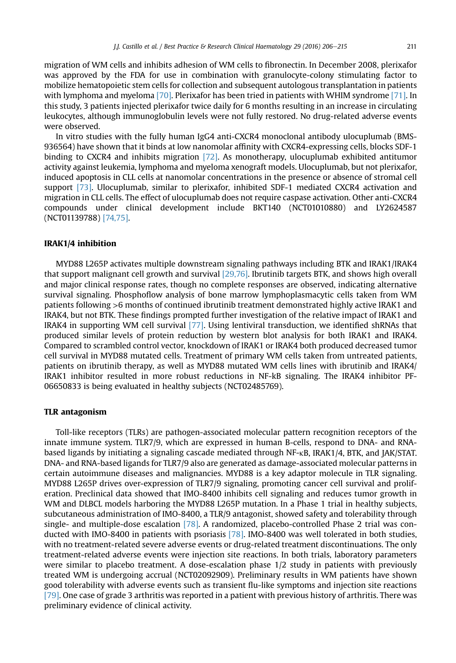migration of WM cells and inhibits adhesion of WM cells to fibronectin. In December 2008, plerixafor was approved by the FDA for use in combination with granulocyte-colony stimulating factor to mobilize hematopoietic stem cells for collection and subsequent autologous transplantation in patients with lymphoma and myeloma [\[70\].](#page-9-0) Plerixafor has been tried in patients with WHIM syndrome [\[71\].](#page-9-0) In this study, 3 patients injected plerixafor twice daily for 6 months resulting in an increase in circulating leukocytes, although immunoglobulin levels were not fully restored. No drug-related adverse events were observed.

In vitro studies with the fully human IgG4 anti-CXCR4 monoclonal antibody ulocuplumab (BMS-936564) have shown that it binds at low nanomolar affinity with CXCR4-expressing cells, blocks SDF-1 binding to CXCR4 and inhibits migration [\[72\]](#page-9-0). As monotherapy, ulocuplumab exhibited antitumor activity against leukemia, lymphoma and myeloma xenograft models. Ulocuplumab, but not plerixafor, induced apoptosis in CLL cells at nanomolar concentrations in the presence or absence of stromal cell support [\[73\].](#page-9-0) Ulocuplumab, similar to plerixafor, inhibited SDF-1 mediated CXCR4 activation and migration in CLL cells. The effect of ulocuplumab does not require caspase activation. Other anti-CXCR4 compounds under clinical development include BKT140 (NCT01010880) and LY2624587 (NCT01139788) [\[74,75\].](#page-9-0)

#### IRAK1/4 inhibition

MYD88 L265P activates multiple downstream signaling pathways including BTK and IRAK1/IRAK4 that support malignant cell growth and survival [\[29,76\]](#page-8-0). Ibrutinib targets BTK, and shows high overall and major clinical response rates, though no complete responses are observed, indicating alternative survival signaling. Phosphoflow analysis of bone marrow lymphoplasmacytic cells taken from WM patients following >6 months of continued ibrutinib treatment demonstrated highly active IRAK1 and IRAK4, but not BTK. These findings prompted further investigation of the relative impact of IRAK1 and IRAK4 in supporting WM cell survival [\[77\].](#page-9-0) Using lentiviral transduction, we identified shRNAs that produced similar levels of protein reduction by western blot analysis for both IRAK1 and IRAK4. Compared to scrambled control vector, knockdown of IRAK1 or IRAK4 both produced decreased tumor cell survival in MYD88 mutated cells. Treatment of primary WM cells taken from untreated patients, patients on ibrutinib therapy, as well as MYD88 mutated WM cells lines with ibrutinib and IRAK4/ IRAK1 inhibitor resulted in more robust reductions in NF-kB signaling. The IRAK4 inhibitor PF-06650833 is being evaluated in healthy subjects (NCT02485769).

# TLR antagonism

Toll-like receptors (TLRs) are pathogen-associated molecular pattern recognition receptors of the innate immune system. TLR7/9, which are expressed in human B-cells, respond to DNA- and RNAbased ligands by initiating a signaling cascade mediated through NF-kB, IRAK1/4, BTK, and JAK/STAT. DNA- and RNA-based ligands for TLR7/9 also are generated as damage-associated molecular patterns in certain autoimmune diseases and malignancies. MYD88 is a key adaptor molecule in TLR signaling. MYD88 L265P drives over-expression of TLR7/9 signaling, promoting cancer cell survival and proliferation. Preclinical data showed that IMO-8400 inhibits cell signaling and reduces tumor growth in WM and DLBCL models harboring the MYD88 L265P mutation. In a Phase 1 trial in healthy subjects, subcutaneous administration of IMO-8400, a TLR/9 antagonist, showed safety and tolerability through single- and multiple-dose escalation [\[78\].](#page-9-0) A randomized, placebo-controlled Phase 2 trial was conducted with IMO-8400 in patients with psoriasis [\[78\].](#page-9-0) IMO-8400 was well tolerated in both studies, with no treatment-related severe adverse events or drug-related treatment discontinuations. The only treatment-related adverse events were injection site reactions. In both trials, laboratory parameters were similar to placebo treatment. A dose-escalation phase 1/2 study in patients with previously treated WM is undergoing accrual (NCT02092909). Preliminary results in WM patients have shown good tolerability with adverse events such as transient flu-like symptoms and injection site reactions [\[79\].](#page-9-0) One case of grade 3 arthritis was reported in a patient with previous history of arthritis. There was preliminary evidence of clinical activity.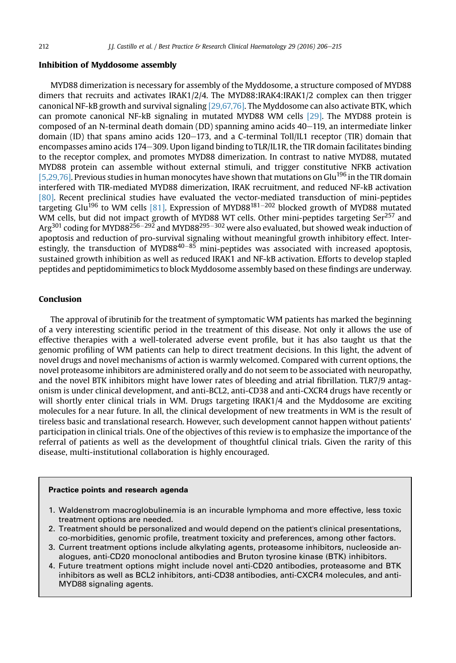#### Inhibition of Myddosome assembly

MYD88 dimerization is necessary for assembly of the Myddosome, a structure composed of MYD88 dimers that recruits and activates IRAK1/2/4. The MYD88:IRAK4:IRAK1/2 complex can then trigger canonical NF-kB growth and survival signaling [\[29,67,76\].](#page-8-0) The Myddosome can also activate BTK, which can promote canonical NF-kB signaling in mutated MYD88 WM cells [\[29\]](#page-8-0). The MYD88 protein is composed of an N-terminal death domain (DD) spanning amino acids 40–119, an intermediate linker domain (ID) that spans amino acids  $120-173$ , and a C-terminal Toll/IL1 receptor (TIR) domain that encompasses amino acids 174-309. Upon ligand binding to TLR/IL1R, the TIR domain facilitates binding to the receptor complex, and promotes MYD88 dimerization. In contrast to native MYD88, mutated MYD88 protein can assemble without external stimuli, and trigger constitutive NFKB activation [\[5,29,76\].](#page-7-0) Previous studies in human monocytes have shown that mutations on Glu<sup>196</sup> in the TIR domain interfered with TIR-mediated MYD88 dimerization, IRAK recruitment, and reduced NF-kB activation [\[80\]](#page-9-0). Recent preclinical studies have evaluated the vector-mediated transduction of mini-peptides targeting Glu<sup>196</sup> to WM cells [\[81\]](#page-9-0). Expression of MYD88<sup>181–202</sup> blocked growth of MYD88 mutated WM cells, but did not impact growth of MYD88 WT cells. Other mini-peptides targeting Ser<sup>257</sup> and Arg<sup>301</sup> coding for MYD88<sup>256–292</sup> and MYD88<sup>295–302</sup> were also evaluated, but showed weak induction of apoptosis and reduction of pro-survival signaling without meaningful growth inhibitory effect. Interestingly, the transduction of MYD88<sup>40–85</sup> mini-peptides was associated with increased apoptosis, sustained growth inhibition as well as reduced IRAK1 and NF-kB activation. Efforts to develop stapled peptides and peptidomimimetics to block Myddosome assembly based on these findings are underway.

# Conclusion

The approval of ibrutinib for the treatment of symptomatic WM patients has marked the beginning of a very interesting scientific period in the treatment of this disease. Not only it allows the use of effective therapies with a well-tolerated adverse event profile, but it has also taught us that the genomic profiling of WM patients can help to direct treatment decisions. In this light, the advent of novel drugs and novel mechanisms of action is warmly welcomed. Compared with current options, the novel proteasome inhibitors are administered orally and do not seem to be associated with neuropathy, and the novel BTK inhibitors might have lower rates of bleeding and atrial fibrillation. TLR7/9 antagonism is under clinical development, and anti-BCL2, anti-CD38 and anti-CXCR4 drugs have recently or will shortly enter clinical trials in WM. Drugs targeting IRAK1/4 and the Myddosome are exciting molecules for a near future. In all, the clinical development of new treatments in WM is the result of tireless basic and translational research. However, such development cannot happen without patients' participation in clinical trials. One of the objectives of this review is to emphasize the importance of the referral of patients as well as the development of thoughtful clinical trials. Given the rarity of this disease, multi-institutional collaboration is highly encouraged.

#### Practice points and research agenda

- 1. Waldenstrom macroglobulinemia is an incurable lymphoma and more effective, less toxic treatment options are needed.
- 2. Treatment should be personalized and would depend on the patient's clinical presentations, co-morbidities, genomic profile, treatment toxicity and preferences, among other factors.
- 3. Current treatment options include alkylating agents, proteasome inhibitors, nucleoside analogues, anti-CD20 monoclonal antibodies and Bruton tyrosine kinase (BTK) inhibitors.
- 4. Future treatment options might include novel anti-CD20 antibodies, proteasome and BTK inhibitors as well as BCL2 inhibitors, anti-CD38 antibodies, anti-CXCR4 molecules, and anti-MYD88 signaling agents.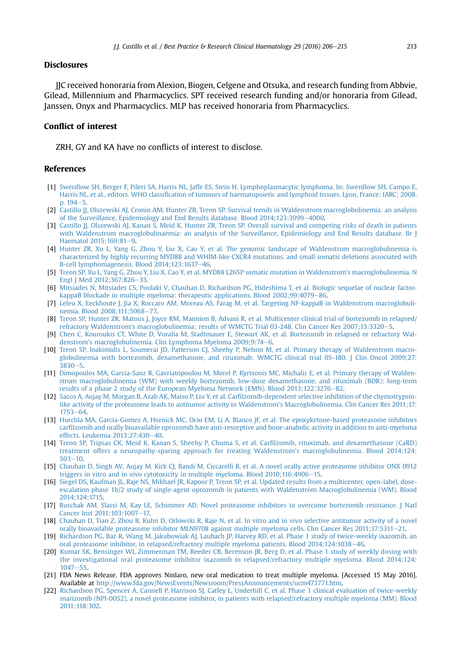# <span id="page-7-0"></span>Disclosures

JJC received honoraria from Alexion, Biogen, Celgene and Otsuka, and research funding from Abbvie, Gilead, Millennium and Pharmacyclics. SPT received research funding and/or honoraria from Gilead, Janssen, Onyx and Pharmacyclics. MLP has received honoraria from Pharmacyclics.

# Conflict of interest

ZRH, GY and KA have no conflicts of interest to disclose.

### References

- [1] [Swerdlow SH, Berger F, Pileri SA, Harris NL, Jaffe ES, Stein H. Lymphoplasmacytic lymphoma. In: Swerdlow SH, Campo E,](http://refhub.elsevier.com/S1521-6926(16)30048-2/sref1) Harris NL, et al., editors. WHO classifi[cation of tumours of haematopoietic and lymphoid tissues. Lyon, France: IARC; 2008.](http://refhub.elsevier.com/S1521-6926(16)30048-2/sref1) p.  $194 - 5$  $194 - 5$ .
- [2] [Castillo JJ, Olszewski AJ, Cronin AM, Hunter ZR, Treon SP. Survival trends in Waldenstrom macroglobulinemia: an analysis](http://refhub.elsevier.com/S1521-6926(16)30048-2/sref2) [of the Surveillance, Epidemiology and End Results database. Blood 2014;123:3999](http://refhub.elsevier.com/S1521-6926(16)30048-2/sref2)-[4000.](http://refhub.elsevier.com/S1521-6926(16)30048-2/sref2)
- [3] Castillo JJ, Olszewski AJ, Kanan S, Meid K, Hunter ZR, Treon SP, Overall survival and competing risks of death in patients [with Waldenstrom macroglobulinaemia: an analysis of the Surveillance, Epidemiology and End Results database. Br J](http://refhub.elsevier.com/S1521-6926(16)30048-2/sref3) Haematol  $2015:169:81-9$ .
- [4] [Hunter ZR, Xu L, Yang G, Zhou Y, Liu X, Cao Y, et al. The genomic landscape of Waldenstrom macroglobulinemia is](http://refhub.elsevier.com/S1521-6926(16)30048-2/sref4) [characterized by highly recurring MYD88 and WHIM-like CXCR4 mutations, and small somatic deletions associated with](http://refhub.elsevier.com/S1521-6926(16)30048-2/sref4) B-cell lymphomagenesis. Blood 2014:123:1637-[46](http://refhub.elsevier.com/S1521-6926(16)30048-2/sref4).
- [5] [Treon SP, Xu L, Yang G, Zhou Y, Liu X, Cao Y, et al. MYD88 L265P somatic mutation in Waldenstrom's macroglobulinemia. N](http://refhub.elsevier.com/S1521-6926(16)30048-2/sref5) [Engl J Med 2012;367:826](http://refhub.elsevier.com/S1521-6926(16)30048-2/sref5)-[33.](http://refhub.elsevier.com/S1521-6926(16)30048-2/sref5)
- [6] [Mitsiades N, Mitsiades CS, Poulaki V, Chauhan D, Richardson PG, Hideshima T, et al. Biologic sequelae of nuclear factor](http://refhub.elsevier.com/S1521-6926(16)30048-2/sref6)[kappaB blockade in multiple myeloma: therapeutic applications. Blood 2002;99:4079](http://refhub.elsevier.com/S1521-6926(16)30048-2/sref6)–[86.](http://refhub.elsevier.com/S1521-6926(16)30048-2/sref6)
- [7] [Leleu X, Eeckhoute J, Jia X, Roccaro AM, Moreau AS, Farag M, et al. Targeting NF-kappaB in Waldenstrom macroglobuli](http://refhub.elsevier.com/S1521-6926(16)30048-2/sref7)[nemia. Blood 2008;111:5068](http://refhub.elsevier.com/S1521-6926(16)30048-2/sref7)-[77.](http://refhub.elsevier.com/S1521-6926(16)30048-2/sref7)
- [8] [Treon SP, Hunter ZR, Matous J, Joyce RM, Mannion B, Advani R, et al. Multicenter clinical trial of bortezomib in relapsed/](http://refhub.elsevier.com/S1521-6926(16)30048-2/sref8) [refractory Waldenstrom's macroglobulinemia: results of WMCTG Trial 03-248. Clin Cancer Res 2007;13:3320](http://refhub.elsevier.com/S1521-6926(16)30048-2/sref8)-[5.](http://refhub.elsevier.com/S1521-6926(16)30048-2/sref8)
- [9] [Chen C, Kouroukis CT, White D, Voralia M, Stadtmauer E, Stewart AK, et al. Bortezomib in relapsed or refractory Wal](http://refhub.elsevier.com/S1521-6926(16)30048-2/sref9)[denstrom's macroglobulinemia. Clin Lymphoma Myeloma 2009;9:74](http://refhub.elsevier.com/S1521-6926(16)30048-2/sref9)-[6](http://refhub.elsevier.com/S1521-6926(16)30048-2/sref9).
- [10] [Treon SP, Ioakimidis L, Soumerai JD, Patterson CJ, Sheehy P, Nelson M, et al. Primary therapy of Waldenstrom macro](http://refhub.elsevier.com/S1521-6926(16)30048-2/sref10)[globulinemia with bortezomib, dexamethasone, and rituximab: WMCTG clinical trial 05-180. J Clin Oncol 2009;27:](http://refhub.elsevier.com/S1521-6926(16)30048-2/sref10)  $3830 - 5$  $3830 - 5$  $3830 - 5$
- [11] [Dimopoulos MA, Garcia-Sanz R, Gavriatopoulou M, Morel P, Kyrtsonis MC, Michalis E, et al. Primary therapy of Walden](http://refhub.elsevier.com/S1521-6926(16)30048-2/sref11)[strom macroglobulinemia \(WM\) with weekly bortezomib, low-dose dexamethasone, and rituximab \(BDR\): long-term](http://refhub.elsevier.com/S1521-6926(16)30048-2/sref11) [results of a phase 2 study of the European Myeloma Network \(EMN\). Blood 2013;122:3276](http://refhub.elsevier.com/S1521-6926(16)30048-2/sref11)-[82](http://refhub.elsevier.com/S1521-6926(16)30048-2/sref11).
- [12] [Sacco A, Aujay M, Morgan B, Azab AK, Maiso P, Liu Y, et al. Car](http://refhub.elsevier.com/S1521-6926(16)30048-2/sref12)filzomib-dependent selective inhibition of the chymotrypsin[like activity of the proteasome leads to antitumor activity in Waldenstrom's Macroglobulinemia. Clin Cancer Res 2011;17:](http://refhub.elsevier.com/S1521-6926(16)30048-2/sref12)  $1753 - 64$  $1753 - 64$
- [13] [Hurchla MA, Garcia-Gomez A, Hornick MC, Ocio EM, Li A, Blanco JF, et al. The epoxyketone-based proteasome inhibitors](http://refhub.elsevier.com/S1521-6926(16)30048-2/sref13) carfi[lzomib and orally bioavailable oprozomib have anti-resorptive and bone-anabolic activity in addition to anti-myeloma](http://refhub.elsevier.com/S1521-6926(16)30048-2/sref13) [effects. Leukemia 2013;27:430](http://refhub.elsevier.com/S1521-6926(16)30048-2/sref13)-[40](http://refhub.elsevier.com/S1521-6926(16)30048-2/sref13).
- [14] [Treon SP, Tripsas CK, Meid K, Kanan S, Sheehy P, Chuma S, et al. Car](http://refhub.elsevier.com/S1521-6926(16)30048-2/sref14)filzomib, rituximab, and dexamethasone (CaRD) [treatment offers a neuropathy-sparing approach for treating Waldenstrom's macroglobulinemia. Blood 2014;124:](http://refhub.elsevier.com/S1521-6926(16)30048-2/sref14)  $503 - 10$  $503 - 10$
- [15] [Chauhan D, Singh AV, Aujay M, Kirk CJ, Bandi M, Ciccarelli B, et al. A novel orally active proteasome inhibitor ONX 0912](http://refhub.elsevier.com/S1521-6926(16)30048-2/sref15) triggers in vitro and in vivo cytotoxicity in multiple myeloma. Blood  $2010;116:4906-15$ .
- [16] [Siegel DS, Kaufman JL, Raje NS, Mikhael JR, Kapoor P, Treon SP, et al. Updated results from a multicenter, open-label, dose](http://refhub.elsevier.com/S1521-6926(16)30048-2/sref16)escalation phase 1b/2 study of single-agent oprozomib in patients with Waldenström Macroglobulinemia (WM). Blood [2014;124:1715](http://refhub.elsevier.com/S1521-6926(16)30048-2/sref16).
- [17] [Ruschak AM, Slassi M, Kay LE, Schimmer AD. Novel proteasome inhibitors to overcome bortezomib resistance. J Natl](http://refhub.elsevier.com/S1521-6926(16)30048-2/sref17) Cancer Inst 2011:103:1007-[17.](http://refhub.elsevier.com/S1521-6926(16)30048-2/sref17)
- [18] [Chauhan D, Tian Z, Zhou B, Kuhn D, Orlowski R, Raje N, et al. In vitro and in vivo selective antitumor activity of a novel](http://refhub.elsevier.com/S1521-6926(16)30048-2/sref18) [orally bioavailable proteasome inhibitor MLN9708 against multiple myeloma cells. Clin Cancer Res 2011;17:5311](http://refhub.elsevier.com/S1521-6926(16)30048-2/sref18)-[21.](http://refhub.elsevier.com/S1521-6926(16)30048-2/sref18)
- [19] [Richardson PG, Baz R, Wang M, Jakubowiak AJ, Laubach JP, Harvey RD, et al. Phase 1 study of twice-weekly ixazomib, an](http://refhub.elsevier.com/S1521-6926(16)30048-2/sref19) [oral proteasome inhibitor, in relapsed/refractory multiple myeloma patients. Blood 2014;124:1038](http://refhub.elsevier.com/S1521-6926(16)30048-2/sref19)-[46.](http://refhub.elsevier.com/S1521-6926(16)30048-2/sref19)
- [20] [Kumar SK, Bensinger WI, Zimmerman TM, Reeder CB, Berenson JR, Berg D, et al. Phase 1 study of weekly dosing with](http://refhub.elsevier.com/S1521-6926(16)30048-2/sref20) [the investigational oral proteasome inhibitor ixazomib in relapsed/refractory multiple myeloma. Blood 2014;124:](http://refhub.elsevier.com/S1521-6926(16)30048-2/sref20)  $1047 - 55$  $1047 - 55$  $1047 - 55$ .
- [21] FDA News Release. FDA approves Ninlaro, new oral medication to treat multiple myeloma. [Accessed 15 May 2016]. Available at [http://www.fda.gov/NewsEvents/Newsroom/PressAnnouncements/ucm473771.htm.](http://www.fda.gov/NewsEvents/Newsroom/PressAnnouncements/ucm473771.htm)
- [22] [Richardson PG, Spencer A, Cannell P, Harrison SJ, Catley L, Underhill C, et al. Phase 1 clinical evaluation of twice-weekly](http://refhub.elsevier.com/S1521-6926(16)30048-2/sref22) [marizomib \(NPI-0052\), a novel proteasome inhibitor, in patients with relapsed/refractory multiple myeloma \(MM\). Blood](http://refhub.elsevier.com/S1521-6926(16)30048-2/sref22) [2011;118:302](http://refhub.elsevier.com/S1521-6926(16)30048-2/sref22).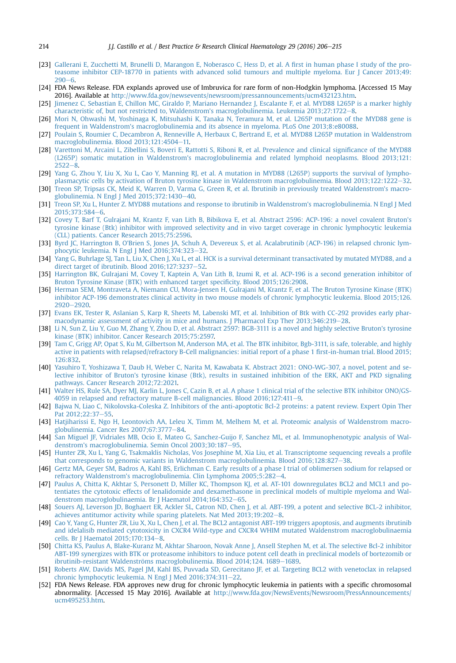- [23] [Gallerani E, Zucchetti M, Brunelli D, Marangon E, Noberasco C, Hess D, et al. A](http://refhub.elsevier.com/S1521-6926(16)30048-2/sref23) first in human phase I study of the pro[teasome inhibitor CEP-18770 in patients with advanced solid tumours and multiple myeloma. Eur J Cancer 2013;49:](http://refhub.elsevier.com/S1521-6926(16)30048-2/sref23)  $290 - 6.$  $290 - 6.$  $290 - 6.$  $290 - 6.$
- [24] FDA News Release. FDA explands aproved use of Imbruvica for rare form of non-Hodgkin lymphoma. [Accessed 15 May 2016]. Available at <http://www.fda.gov/newsevents/newsroom/pressannouncements/ucm432123.htm>.
- [25] [Jimenez C, Sebastian E, Chillon MC, Giraldo P, Mariano Hernandez J, Escalante F, et al. MYD88 L265P is a marker highly](http://refhub.elsevier.com/S1521-6926(16)30048-2/sref25) characteristic of, but not restricted to, Waldenstrom's macroglobulinemia. Leukemia 2013:27:1722-[8.](http://refhub.elsevier.com/S1521-6926(16)30048-2/sref25)
- [26] [Mori N, Ohwashi M, Yoshinaga K, Mitsuhashi K, Tanaka N, Teramura M, et al. L265P mutation of the MYD88 gene is](http://refhub.elsevier.com/S1521-6926(16)30048-2/sref26) [frequent in Waldenstrom's macroglobulinemia and its absence in myeloma. PLoS One 2013;8:e80088](http://refhub.elsevier.com/S1521-6926(16)30048-2/sref26).
- [27] [Poulain S, Roumier C, Decambron A, Renneville A, Herbaux C, Bertrand E, et al. MYD88 L265P mutation in Waldenstrom](http://refhub.elsevier.com/S1521-6926(16)30048-2/sref27) [macroglobulinemia. Blood 2013;121:4504](http://refhub.elsevier.com/S1521-6926(16)30048-2/sref27)-[11.](http://refhub.elsevier.com/S1521-6926(16)30048-2/sref27)
- [28] [Varettoni M, Arcaini L, Zibellini S, Boveri E, Rattotti S, Riboni R, et al. Prevalence and clinical signi](http://refhub.elsevier.com/S1521-6926(16)30048-2/sref28)ficance of the MYD88 [\(L265P\) somatic mutation in Waldenstrom's macroglobulinemia and related lymphoid neoplasms. Blood 2013;121:](http://refhub.elsevier.com/S1521-6926(16)30048-2/sref28)  $2522 - 8.$  $2522 - 8.$  $2522 - 8.$  $2522 - 8.$
- [29] [Yang G, Zhou Y, Liu X, Xu L, Cao Y, Manning RJ, et al. A mutation in MYD88 \(L265P\) supports the survival of lympho](http://refhub.elsevier.com/S1521-6926(16)30048-2/sref29)[plasmacytic cells by activation of Bruton tyrosine kinase in Waldenstrom macroglobulinemia. Blood 2013;122:1222](http://refhub.elsevier.com/S1521-6926(16)30048-2/sref29)-[32.](http://refhub.elsevier.com/S1521-6926(16)30048-2/sref29)
- [30] [Treon SP, Tripsas CK, Meid K, Warren D, Varma G, Green R, et al. Ibrutinib in previously treated Waldenstrom's macro](http://refhub.elsevier.com/S1521-6926(16)30048-2/sref30)[globulinemia. N Engl J Med 2015;372:1430](http://refhub.elsevier.com/S1521-6926(16)30048-2/sref30)-[40.](http://refhub.elsevier.com/S1521-6926(16)30048-2/sref30)
- [31] [Treon SP, Xu L, Hunter Z. MYD88 mutations and response to ibrutinib in Waldenstrom's macroglobulinemia. N Engl J Med](http://refhub.elsevier.com/S1521-6926(16)30048-2/sref31) [2015;373:584](http://refhub.elsevier.com/S1521-6926(16)30048-2/sref31)-[6](http://refhub.elsevier.com/S1521-6926(16)30048-2/sref31).
- [32] [Covey T, Barf T, Gulrajani M, Krantz F, van Lith B, Bibikova E, et al. Abstract 2596: ACP-196: a novel covalent Bruton's](http://refhub.elsevier.com/S1521-6926(16)30048-2/sref32) [tyrosine kinase \(Btk\) inhibitor with improved selectivity and in vivo target coverage in chronic lymphocytic leukemia](http://refhub.elsevier.com/S1521-6926(16)30048-2/sref32) [\(CLL\) patients. Cancer Research 2015;75:2596](http://refhub.elsevier.com/S1521-6926(16)30048-2/sref32).
- [33] [Byrd JC, Harrington B, O'Brien S, Jones JA, Schuh A, Devereux S, et al. Acalabrutinib \(ACP-196\) in relapsed chronic lym](http://refhub.elsevier.com/S1521-6926(16)30048-2/sref33)[phocytic leukemia. N Engl J Med 2016;374:323](http://refhub.elsevier.com/S1521-6926(16)30048-2/sref33)-[32.](http://refhub.elsevier.com/S1521-6926(16)30048-2/sref33)
- [34] [Yang G, Buhrlage SJ, Tan L, Liu X, Chen J, Xu L, et al. HCK is a survival determinant transactivated by mutated MYD88, and a](http://refhub.elsevier.com/S1521-6926(16)30048-2/sref34) [direct target of ibrutinib. Blood 2016;127:3237](http://refhub.elsevier.com/S1521-6926(16)30048-2/sref34)-[52.](http://refhub.elsevier.com/S1521-6926(16)30048-2/sref34)
- [35] [Harrington BK, Gulrajani M, Covey T, Kaptein A, Van Lith B, Izumi R, et al. ACP-196 is a second generation inhibitor of](http://refhub.elsevier.com/S1521-6926(16)30048-2/sref35) [Bruton Tyrosine Kinase \(BTK\) with enhanced target speci](http://refhub.elsevier.com/S1521-6926(16)30048-2/sref35)ficity. Blood 2015;126:2908.
- [36] [Herman SEM, Montraveta A, Niemann CU, Mora-Jensen H, Gulrajani M, Krantz F, et al. The Bruton Tyrosine Kinase \(BTK\)](http://refhub.elsevier.com/S1521-6926(16)30048-2/sref36) [inhibitor ACP-196 demonstrates clinical activity in two mouse models of chronic lymphocytic leukemia. Blood 2015;126.](http://refhub.elsevier.com/S1521-6926(16)30048-2/sref36) [2920](http://refhub.elsevier.com/S1521-6926(16)30048-2/sref36)-2920.
- [37] [Evans EK, Tester R, Aslanian S, Karp R, Sheets M, Labenski MT, et al. Inhibition of Btk with CC-292 provides early phar](http://refhub.elsevier.com/S1521-6926(16)30048-2/sref37)[macodynamic assessment of activity in mice and humans. J Pharmacol Exp Ther 2013;346:219](http://refhub.elsevier.com/S1521-6926(16)30048-2/sref37)-[28.](http://refhub.elsevier.com/S1521-6926(16)30048-2/sref37)
- [38] [Li N, Sun Z, Liu Y, Guo M, Zhang Y, Zhou D, et al. Abstract 2597: BGB-3111 is a novel and highly selective Bruton's tyrosine](http://refhub.elsevier.com/S1521-6926(16)30048-2/sref38) [kinase \(BTK\) inhibitor. Cancer Research 2015;75:2597.](http://refhub.elsevier.com/S1521-6926(16)30048-2/sref38)
- [39] [Tam C, Grigg AP, Opat S, Ku M, Gilbertson M, Anderson MA, et al. The BTK inhibitor, Bgb-3111, is safe, tolerable, and highly](http://refhub.elsevier.com/S1521-6926(16)30048-2/sref39) [active in patients with relapsed/refractory B-Cell malignancies: initial report of a phase 1](http://refhub.elsevier.com/S1521-6926(16)30048-2/sref39) first-in-human trial. Blood 2015; [126:832.](http://refhub.elsevier.com/S1521-6926(16)30048-2/sref39)
- [40] [Yasuhiro T, Yoshizawa T, Daub H, Weber C, Narita M, Kawabata K. Abstract 2021: ONO-WG-307, a novel, potent and se](http://refhub.elsevier.com/S1521-6926(16)30048-2/sref40)[lective inhibitor of Bruton's tyrosine kinase \(Btk\), results in sustained inhibition of the ERK, AKT and PKD signaling](http://refhub.elsevier.com/S1521-6926(16)30048-2/sref40) [pathways. Cancer Research 2012;72:2021.](http://refhub.elsevier.com/S1521-6926(16)30048-2/sref40)
- [41] [Walter HS, Rule SA, Dyer MJ, Karlin L, Jones C, Cazin B, et al. A phase 1 clinical trial of the selective BTK inhibitor ONO/GS-](http://refhub.elsevier.com/S1521-6926(16)30048-2/sref41)[4059 in relapsed and refractory mature B-cell malignancies. Blood 2016;127:411](http://refhub.elsevier.com/S1521-6926(16)30048-2/sref41)-[9](http://refhub.elsevier.com/S1521-6926(16)30048-2/sref41).
- [42] [Bajwa N, Liao C, Nikolovska-Coleska Z. Inhibitors of the anti-apoptotic Bcl-2 proteins: a patent review. Expert Opin Ther](http://refhub.elsevier.com/S1521-6926(16)30048-2/sref42) Pat  $2012:22:37-55$ .
- [43] [Hatjiharissi E, Ngo H, Leontovich AA, Leleu X, Timm M, Melhem M, et al. Proteomic analysis of Waldenstrom macro](http://refhub.elsevier.com/S1521-6926(16)30048-2/sref43)[globulinemia. Cancer Res 2007;67:3777](http://refhub.elsevier.com/S1521-6926(16)30048-2/sref43)-[84](http://refhub.elsevier.com/S1521-6926(16)30048-2/sref43).
- [44] [San Miguel JF, Vidriales MB, Ocio E, Mateo G, Sanchez-Guijo F, Sanchez ML, et al. Immunophenotypic analysis of Wal](http://refhub.elsevier.com/S1521-6926(16)30048-2/sref44)[denstrom's macroglobulinemia. Semin Oncol 2003;30:187](http://refhub.elsevier.com/S1521-6926(16)30048-2/sref44)-[95](http://refhub.elsevier.com/S1521-6926(16)30048-2/sref44).
- [45] [Hunter ZR, Xu L, Yang G, Tsakmaklis Nicholas, Vos Josephine M, Xia Liu, et al. Transcriptome sequencing reveals a pro](http://refhub.elsevier.com/S1521-6926(16)30048-2/sref45)file [that corresponds to genomic variants in Waldenstrom macroglobulinemia. Blood 2016;128:827](http://refhub.elsevier.com/S1521-6926(16)30048-2/sref45)-[38.](http://refhub.elsevier.com/S1521-6926(16)30048-2/sref45)
- [46] [Gertz MA, Geyer SM, Badros A, Kahl BS, Erlichman C. Early results of a phase I trial of oblimersen sodium for relapsed or](http://refhub.elsevier.com/S1521-6926(16)30048-2/sref46) [refractory Waldenstrom's macroglobulinemia. Clin Lymphoma 2005;5:282](http://refhub.elsevier.com/S1521-6926(16)30048-2/sref46)-[4.](http://refhub.elsevier.com/S1521-6926(16)30048-2/sref46)
- [47] [Paulus A, Chitta K, Akhtar S, Personett D, Miller KC, Thompson KJ, et al. AT-101 downregulates BCL2 and MCL1 and po](http://refhub.elsevier.com/S1521-6926(16)30048-2/sref47)[tentiates the cytotoxic effects of lenalidomide and dexamethasone in preclinical models of multiple myeloma and Wal](http://refhub.elsevier.com/S1521-6926(16)30048-2/sref47)[denstrom macroglobulinaemia. Br J Haematol 2014;164:352](http://refhub.elsevier.com/S1521-6926(16)30048-2/sref47)-[65](http://refhub.elsevier.com/S1521-6926(16)30048-2/sref47).
- [48] [Souers AJ, Leverson JD, Boghaert ER, Ackler SL, Catron ND, Chen J, et al. ABT-199, a potent and selective BCL-2 inhibitor,](http://refhub.elsevier.com/S1521-6926(16)30048-2/sref48) [achieves antitumor activity while sparing platelets. Nat Med 2013;19:202](http://refhub.elsevier.com/S1521-6926(16)30048-2/sref48)-[8.](http://refhub.elsevier.com/S1521-6926(16)30048-2/sref48)
- [49] [Cao Y, Yang G, Hunter ZR, Liu X, Xu L, Chen J, et al. The BCL2 antagonist ABT-199 triggers apoptosis, and augments ibrutinib](http://refhub.elsevier.com/S1521-6926(16)30048-2/sref49) [and idelalisib mediated cytotoxicity in CXCR4 Wild-type and CXCR4 WHIM mutated Waldenstrom macroglobulinaemia](http://refhub.elsevier.com/S1521-6926(16)30048-2/sref49) [cells. Br J Haematol 2015;170:134](http://refhub.elsevier.com/S1521-6926(16)30048-2/sref49)-[8](http://refhub.elsevier.com/S1521-6926(16)30048-2/sref49).
- [50] [Chitta KS, Paulus A, Blake-Kuranz M, Akhtar Sharoon, Novak Anne J, Ansell Stephen M, et al. The selective Bcl-2 inhibitor](http://refhub.elsevier.com/S1521-6926(16)30048-2/sref50) [ABT-199 synergizes with BTK or proteasome inhibitors to induce potent cell death in preclinical models of bortezomib or](http://refhub.elsevier.com/S1521-6926(16)30048-2/sref50) ibrutinib-resistant Waldenströms macroglobulinemia. Blood 2014;124. [1689](http://refhub.elsevier.com/S1521-6926(16)30048-2/sref50)–1689.
- [51] [Roberts AW, Davids MS, Pagel JM, Kahl BS, Puvvada SD, Gerecitano JF, et al. Targeting BCL2 with venetoclax in relapsed](http://refhub.elsevier.com/S1521-6926(16)30048-2/sref51) [chronic lymphocytic leukemia. N Engl J Med 2016;374:311](http://refhub.elsevier.com/S1521-6926(16)30048-2/sref51)-[22.](http://refhub.elsevier.com/S1521-6926(16)30048-2/sref51)
- [52] FDA News Release. FDA approves new drug for chronic lymphocytic leukemia in patients with a specific chromosomal abnormality. [Accessed 15 May 2016]. Available at [http://www.fda.gov/NewsEvents/Newsroom/PressAnnouncements/](http://www.fda.gov/NewsEvents/Newsroom/PressAnnouncements/ucm495253.htm) [ucm495253.htm](http://www.fda.gov/NewsEvents/Newsroom/PressAnnouncements/ucm495253.htm).

<span id="page-8-0"></span>